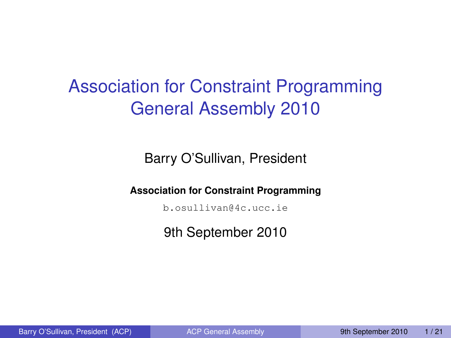# Association for Constraint Programming General Assembly 2010

Barry O'Sullivan, President

**Association for Constraint Programming**

b.osullivan@4c.ucc.ie

<span id="page-0-0"></span>9th September 2010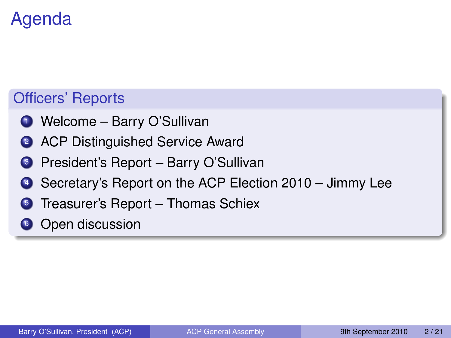# Agenda

### Officers' Reports

- Welcome Barry O'Sullivan
- ACP Distinguished Service Award
- President's Report Barry O'Sullivan
- Secretary's Report on the ACP Election 2010 Jimmy Lee
- Treasurer's Report Thomas Schiex
- Open discussion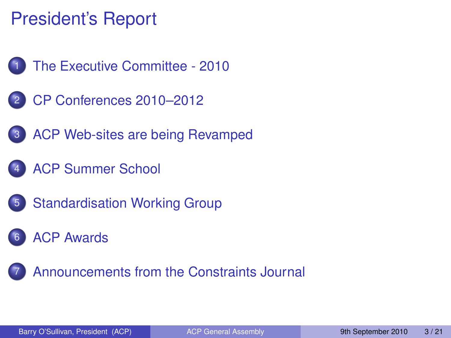# President's Report

- [The Executive Committee 2010](#page-3-0)
- 2 [CP Conferences 2010–2012](#page-5-0)
- 3 [ACP Web-sites are being Revamped](#page-7-0)
	- **[ACP Summer School](#page-8-0)**
	- **[Standardisation Working Group](#page-9-0)**
	- **[ACP Awards](#page-10-0)**
	- 7 [Announcements from the Constraints Journal](#page-13-0)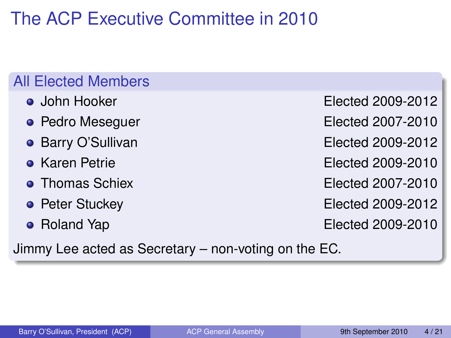The ACP Executive Committee in 2010

### All Elected Members

- John Hooker Elected 2009-2012
- 
- 
- 
- 
- 
- <span id="page-3-0"></span>

• Pedro Meseguer **Elected 2007-2010** • Barry O'Sullivan **Elected 2009-2012** Karen Petrie Elected 2009-2010 • Thomas Schiex **Elected 2007-2010 • Peter Stuckey Elected 2009-2012** • Roland Yap **Elected 2009-2010** 

Jimmy Lee acted as Secretary – non-voting on the EC.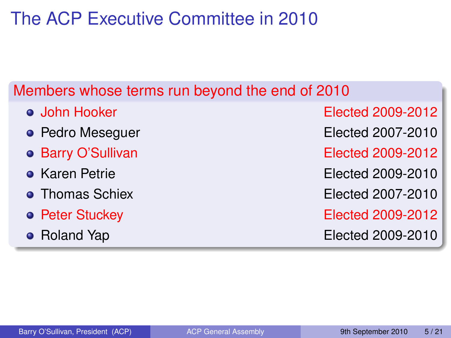# The ACP Executive Committee in 2010

### Members whose terms run beyond the end of 2010

- 
- 
- 
- 
- 
- 
- 

John Hooker Elected 2009-2012 • Pedro Meseguer **Elected 2007-2010** • Barry O'Sullivan **Elected 2009-2012** Karen Petrie Elected 2009-2010 • Thomas Schiex **Elected 2007-2010 • Peter Stuckey Elected 2009-2012** • Roland Yap **Elected 2009-2010**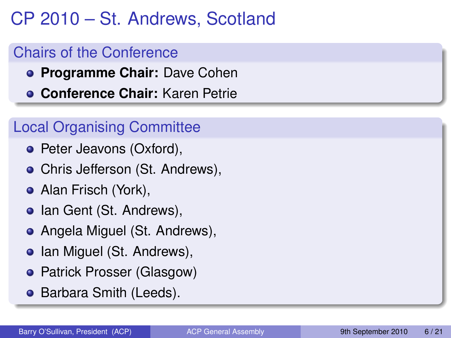# CP 2010 – St. Andrews, Scotland

## Chairs of the Conference

- **Programme Chair:** Dave Cohen
- **Conference Chair:** Karen Petrie

## Local Organising Committee

- Peter Jeavons (Oxford),
- Chris Jefferson (St. Andrews),
- Alan Frisch (York),
- Ian Gent (St. Andrews),
- Angela Miguel (St. Andrews),
- Ian Miguel (St. Andrews),
- Patrick Prosser (Glasgow)
- <span id="page-5-0"></span>**• Barbara Smith (Leeds).**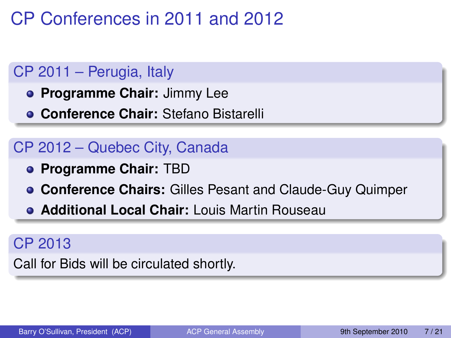CP Conferences in 2011 and 2012

### CP 2011 – Perugia, Italy

- **Programme Chair:** Jimmy Lee
- **Conference Chair:** Stefano Bistarelli

## CP 2012 – Quebec City, Canada

- **Programme Chair:** TBD
- **Conference Chairs:** Gilles Pesant and Claude-Guy Quimper
- **Additional Local Chair:** Louis Martin Rouseau

#### CP 2013

Call for Bids will be circulated shortly.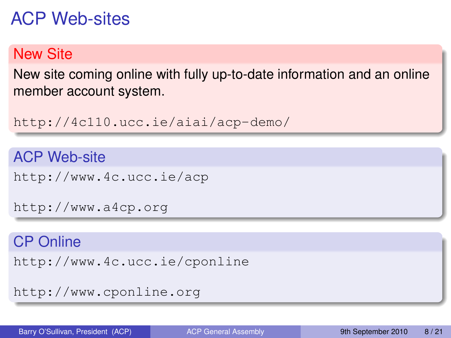# ACP Web-sites

## New Site

New site coming online with fully up-to-date information and an online member account system.

```
http://4c110.ucc.ie/aiai/acp-demo/
```
ACP Web-site

<http://www.4c.ucc.ie/acp>

<http://www.a4cp.org>

#### CP Online

<http://www.4c.ucc.ie/cponline>

<span id="page-7-0"></span><http://www.cponline.org>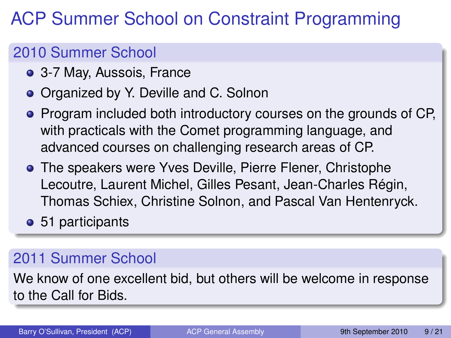# ACP Summer School on Constraint Programming

### 2010 Summer School

- 3-7 May, Aussois, France
- Organized by Y. Deville and C. Solnon
- Program included both introductory courses on the grounds of CP, with practicals with the Comet programming language, and advanced courses on challenging research areas of CP.
- **•** The speakers were Yves Deville, Pierre Flener, Christophe Lecoutre, Laurent Michel, Gilles Pesant, Jean-Charles Régin, Thomas Schiex, Christine Solnon, and Pascal Van Hentenryck.

• 51 participants

## 2011 Summer School

We know of one excellent bid, but others will be welcome in response to the Call for Bids.

<span id="page-8-0"></span>Barry O'Sullivan, President (ACP) [ACP General Assembly](#page-0-0) 9th September 2010 9th September 2010 9th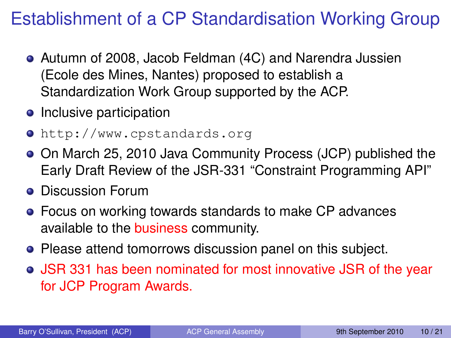# Establishment of a CP Standardisation Working Group

- Autumn of 2008, Jacob Feldman (4C) and Narendra Jussien (Ecole des Mines, Nantes) proposed to establish a Standardization Work Group supported by the ACP.
- Inclusive participation
- <http://www.cpstandards.org>
- On March 25, 2010 Java Community Process (JCP) published the Early Draft Review of the JSR-331 "Constraint Programming API"
- **Discussion Forum**
- Focus on working towards standards to make CP advances available to the business community.
- Please attend tomorrows discussion panel on this subject.
- <span id="page-9-0"></span>JSR 331 has been nominated for most innovative JSR of the year for JCP Program Awards.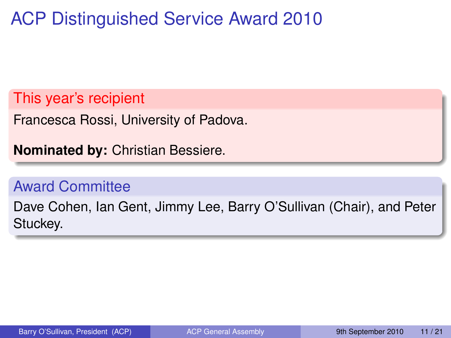## ACP Distinguished Service Award 2010

This year's recipient

Francesca Rossi, University of Padova.

**Nominated by:** Christian Bessiere.

#### Award Committee

<span id="page-10-0"></span>Dave Cohen, Ian Gent, Jimmy Lee, Barry O'Sullivan (Chair), and Peter Stuckey.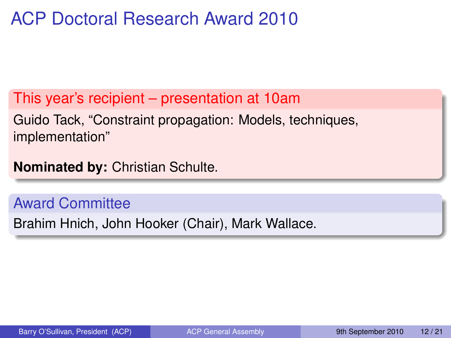## ACP Doctoral Research Award 2010

This year's recipient – presentation at 10am Guido Tack, "Constraint propagation: Models, techniques, implementation"

**Nominated by:** Christian Schulte.

Award Committee

Brahim Hnich, John Hooker (Chair), Mark Wallace.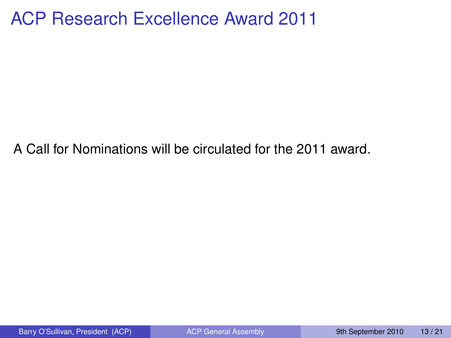## ACP Research Excellence Award 2011

A Call for Nominations will be circulated for the 2011 award.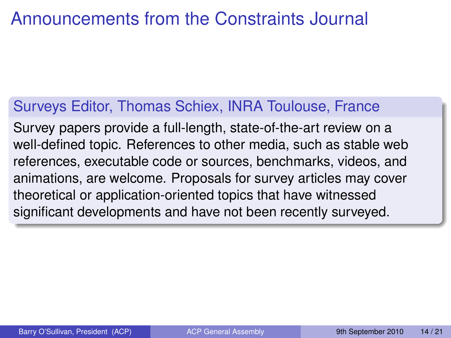## Announcements from the Constraints Journal

#### Surveys Editor, Thomas Schiex, INRA Toulouse, France

<span id="page-13-0"></span>Survey papers provide a full-length, state-of-the-art review on a well-defined topic. References to other media, such as stable web references, executable code or sources, benchmarks, videos, and animations, are welcome. Proposals for survey articles may cover theoretical or application-oriented topics that have witnessed significant developments and have not been recently surveyed.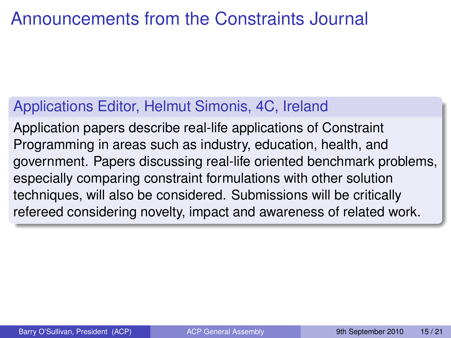## Announcements from the Constraints Journal

### Applications Editor, Helmut Simonis, 4C, Ireland

Application papers describe real-life applications of Constraint Programming in areas such as industry, education, health, and government. Papers discussing real-life oriented benchmark problems, especially comparing constraint formulations with other solution techniques, will also be considered. Submissions will be critically refereed considering novelty, impact and awareness of related work.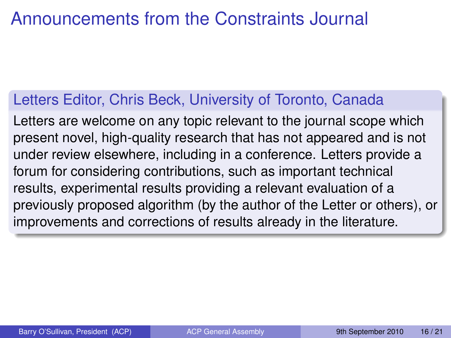## Announcements from the Constraints Journal

#### Letters Editor, Chris Beck, University of Toronto, Canada

Letters are welcome on any topic relevant to the journal scope which present novel, high-quality research that has not appeared and is not under review elsewhere, including in a conference. Letters provide a forum for considering contributions, such as important technical results, experimental results providing a relevant evaluation of a previously proposed algorithm (by the author of the Letter or others), or improvements and corrections of results already in the literature.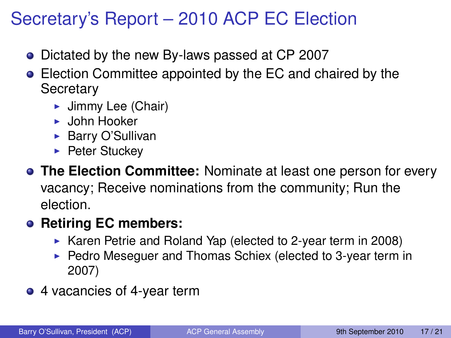# Secretary's Report – 2010 ACP EC Election

- Dictated by the new By-laws passed at CP 2007
- Election Committee appointed by the EC and chaired by the **Secretary** 
	- $\blacktriangleright$  Jimmy Lee (Chair)
	- $\blacktriangleright$  John Hooker
	- $\triangleright$  Barry O'Sullivan
	- $\blacktriangleright$  Peter Stuckey
- **The Election Committee:** Nominate at least one person for every vacancy; Receive nominations from the community; Run the election.

#### **• Retiring EC members:**

- $\triangleright$  Karen Petrie and Roland Yap (elected to 2-year term in 2008)
- $\triangleright$  Pedro Meseguer and Thomas Schiex (elected to 3-year term in 2007)
- 4 vacancies of 4-year term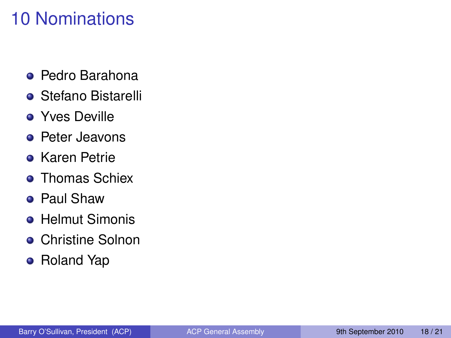# 10 Nominations

- Pedro Barahona
- **Stefano Bistarelli**
- **Yves Deville**
- **•** Peter Jeavons
- **Karen Petrie**
- **Thomas Schiex**
- Paul Shaw
- **Helmut Simonis**
- **Christine Solnon**
- Roland Yap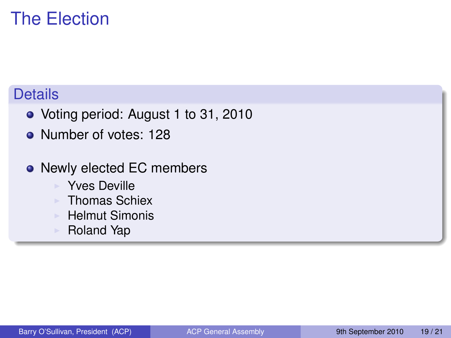# The Election

### **Details**

- Voting period: August 1 to 31, 2010
- Number of votes: 128
- Newly elected EC members
	- **Yves Deville**
	- $\blacktriangleright$  Thomas Schiex
	- $\blacktriangleright$  Helmut Simonis
	- **Roland Yap**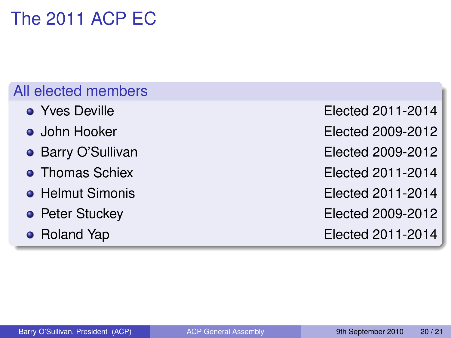# The 2011 ACP EC

### All elected members

- 
- 
- 
- 
- 
- 
- 

Yves Deville Elected 2011-2014 John Hooker Elected 2009-2012 • Barry O'Sullivan **Elected 2009-2012** • Thomas Schiex **Elected 2011-2014** Helmut Simonis Elected 2011-2014 • Peter Stuckey **Elected 2009-2012** • Roland Yap **Elected 2011-2014**